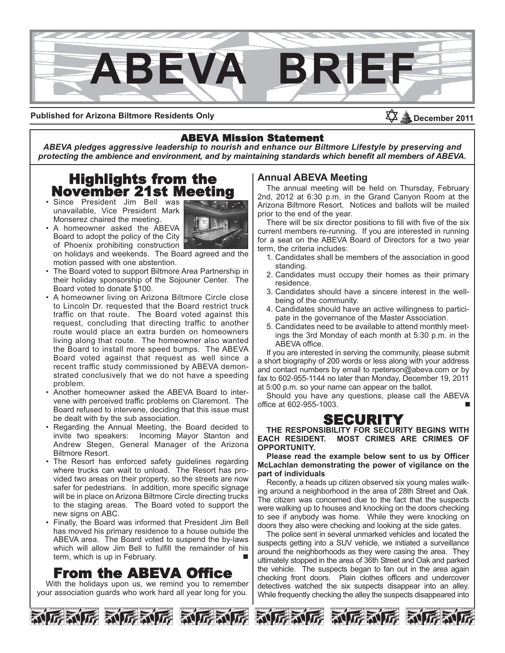

#### **Published for Arizona Biltmore Residents Only**

ABEVA Mission Statement *ABEVA pledges aggressive leadership to nourish and enhance our Biltmore Lifestyle by preserving and protecting the ambience and environment, and by maintaining standards which benefit all members of ABEVA.*

# Highlights from the November 21st Meeting

• Since President Jim Bell was unavailable, Vice President Mark Monserez chaired the meeting.



• A homeowner asked the ABEVA Board to adopt the policy of the City of Phoenix prohibiting construction on holidays and weekends. The Board agreed and the

motion passed with one abstention. • The Board voted to support Biltmore Area Partnership in

- their holiday sponsorship of the Sojouner Center. The Board voted to donate \$100.
- A homeowner living on Arizona Biltmore Circle close to Lincoln Dr. requested that the Board restrict truck traffic on that route. The Board voted against this request, concluding that directing traffic to another route would place an extra burden on homeowners living along that route. The homeowner also wanted the Board to install more speed bumps. The ABEVA Board voted against that request as well since a recent traffic study commissioned by ABEVA demonstrated conclusively that we do not have a speeding problem.
- Another homeowner asked the ABEVA Board to intervene with perceived traffic problems on Claremont. The Board refused to intervene, deciding that this issue must be dealt with by the sub association.
- Regarding the Annual Meeting, the Board decided to invite two speakers: Incoming Mayor Stanton and Andrew Stegen, General Manager of the Arizona Biltmore Resort.
- The Resort has enforced safety guidelines regarding where trucks can wait to unload. The Resort has provided two areas on their property, so the streets are now safer for pedestrians. In addition, more specific signage will be in place on Arizona Biltmore Circle directing trucks to the staging areas. The Board voted to support the new signs on ABC.
- Finally, the Board was informed that President Jim Bell has moved his primary residence to a house outside the ABEVA area. The Board voted to suspend the by-laws which will allow Jim Bell to fulfill the remainder of his term, which is up in February.

## From the ABEVA Office

With the holidays upon us, we remind you to remember  $\frac{1}{2}$ your association guards who work hard all year long for you.



#### **Annual ABEVA Meeting**

The annual meeting will be held on Thursday, February 2nd, 2012 at 6:30 p.m. in the Grand Canyon Room at the Arizona Biltmore Resort. Notices and ballots will be mailed prior to the end of the year.

December 2011

There will be six director positions to fill with five of the six current members re-running. If you are interested in running for a seat on the ABEVA Board of Directors for a two year term, the criteria includes:

- 1. Candidates shall be members of the association in good standing.
- 2. Candidates must occupy their homes as their primary residence.
- 3. Candidates should have a sincere interest in the wellbeing of the community.
- 4. Candidates should have an active willingness to participate in the governance of the Master Association.
- 5. Candidates need to be available to attend monthly meetings the 3rd Monday of each month at 5:30 p.m. in the ABEVA office.

If you are interested in serving the community, please submit a short biography of 200 words or less along with your address and contact numbers by email to rpeterson@abeva.com or by fax to 602-955-1144 no later than Monday, December 19, 2011 at 5:00 p.m. so your name can appear on the ballot.

Should you have any questions, please call the ABEVA office at 602-955-1003. n



THE RESPONSIBILITY FOR SECURITY BEGINS WITH **EACH RESIDENT. MOST CRIMES ARE CRIMES OF OPPORTUNITY.** 

**Please read the example below sent to us by Officer McLachlan demonstrating the power of vigilance on the part of individuals** 

Recently, a heads up citizen observed six young males walking around a neighborhood in the area of 28th Street and Oak. The citizen was concerned due to the fact that the suspects were walking up to houses and knocking on the doors checking to see if anybody was home. While they were knocking on doors they also were checking and looking at the side gates.

The police sent in several unmarked vehicles and located the suspects getting into a SUV vehicle, we initiated a surveillance around the neighborhoods as they were casing the area. They ultimately stopped in the area of 36th Street and Oak and parked the vehicle. The suspects began to fan out in the area again checking front doors. Plain clothes officers and undercover detectives watched the six suspects disappear into an alley. While frequently checking the alley the suspects disappeared into





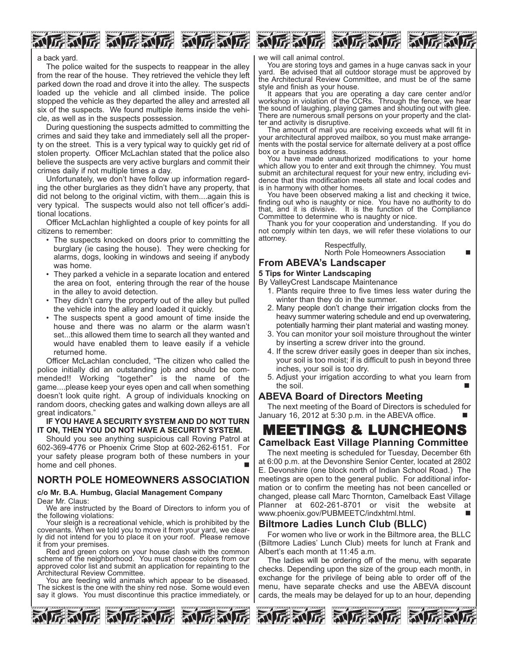



#### a back yard.

The police waited for the suspects to reappear in the alley from the rear of the house. They retrieved the vehicle they left parked down the road and drove it into the alley. The suspects loaded up the vehicle and all climbed inside. The police stopped the vehicle as they departed the alley and arrested all six of the suspects. We found multiple items inside the vehicle, as well as in the suspects possession.

During questioning the suspects admitted to committing the crimes and said they take and immediately sell all the property on the street. This is a very typical way to quickly get rid of stolen property. Officer McLachlan stated that the police also believe the suspects are very active burglars and commit their crimes daily if not multiple times a day.

Unfortunately, we don't have follow up information regarding the other burglaries as they didn't have any property, that did not belong to the original victim, with them....again this is very typical. The suspects would also not tell officer's additional locations.

Officer McLachlan highlighted a couple of key points for all citizens to remember:

- The suspects knocked on doors prior to committing the burglary (ie casing the house). They were checking for alarms, dogs, looking in windows and seeing if anybody was home.
- They parked a vehicle in a separate location and entered the area on foot, entering through the rear of the house in the alley to avoid detection.
- They didn't carry the property out of the alley but pulled the vehicle into the alley and loaded it quickly.
- The suspects spent a good amount of time inside the house and there was no alarm or the alarm wasn't set...this allowed them time to search all they wanted and would have enabled them to leave easily if a vehicle returned home.

Officer McLachlan concluded, "The citizen who called the police initially did an outstanding job and should be commended!! Working "together" is the name of the game....please keep your eyes open and call when something doesn't look quite right. A group of individuals knocking on random doors, checking gates and walking down alleys are all great indicators."

#### **IF YOU HAVE A SECURITY SYSTEM AND DO NOT TURN IT ON, THEN YOU DO NOT HAVE A SECURITY SYSTEM.**

Should you see anything suspicious call Roving Patrol at 602-369-4776 or Phoenix Crime Stop at 602-262-6151. For your safety please program both of these numbers in your home and cell phones.

### **NORTH POLE HOMEOWNERS ASSOCIATION**

#### **c/o Mr. B.A. Humbug, Glacial Management Company**  Dear Mr. Claus:

We are instructed by the Board of Directors to inform you of the following violations:

Your sleigh is a recreational vehicle, which is prohibited by the covenants. When we told you to move it from your yard, we clearly did not intend for you to place it on your roof. Please remove it from your premises.

Red and green colors on your house clash with the common scheme of the neighborhood. You must choose colors from our approved color list and submit an application for repainting to the Architectural Review Committee.

You are feeding wild animals which appear to be diseased. The sickest is the one with the shiny red nose. Some would even say it glows. You must discontinue this practice immediately, or



we will call animal control.

You are storing toys and games in a huge canvas sack in your yard. Be advised that all outdoor storage must be approved by the Architectural Review Committee, and must be of the same style and finish as your house.

It appears that you are operating a day care center and/or workshop in violation of the CCRs. Through the fence, we hear the sound of laughing, playing games and shouting out with glee. There are numerous small persons on your property and the clatter and activity is disruptive.

The amount of mail you are receiving exceeds what will fit in your architectural approved mailbox, so you must make arrangements with the postal service for alternate delivery at a post office box or a business address.

You have made unauthorized modifications to your home which allow you to enter and exit through the chimney. You must submit an architectural request for your new entry, including evidence that this modification meets all state and local codes and is in harmony with other homes.

You have been observed making a list and checking it twice, finding out who is naughty or nice. You have no authority to do that, and it is divisive. It is the function of the Compliance Committee to determine who is naughty or nice.

Thank you for your cooperation and understanding. If you do not comply within ten days, we will refer these violations to our attorney.

Respectfully, North Pole Homeowners Association

#### **From ABEVA's Landscaper**

#### **5 Tips for Winter Landscaping**

By ValleyCrest Landscape Maintenance

- 1. Plants require three to five times less water during the winter than they do in the summer.
- 2. Many people don't change their irrigation clocks from the heavy summer watering schedule and end up overwatering, potentially harming their plant material and wasting money.
- 3. You can monitor your soil moisture throughout the winter by inserting a screw driver into the ground.
- 4. If the screw driver easily goes in deeper than six inches, your soil is too moist; if is difficult to push in beyond three inches, your soil is too dry.
- 5. Adjust your irrigation according to what you learn from the soil.  $\Box$

#### **ABEVA Board of Directors Meeting**

The next meeting of the Board of Directors is scheduled for January 16, 2012 at  $5:30$  p.m. in the ABEVA office.

# **Camelback East Village Planning Committee**

The next meeting is scheduled for Tuesday, December 6th at 6:00 p.m. at the Devonshire Senior Center, located at 2802 E. Devonshire (one block north of Indian School Road.) The meetings are open to the general public. For additional information or to confirm the meeting has not been cancelled or changed, please call Marc Thornton, Camelback East Village Planner at 602-261-8701 or visit the website at www.phoenix.gov/PUBMEETC/indxhtml.html.

### **Biltmore Ladies Lunch Club (BLLC)**

For women who live or work in the Biltmore area, the BLLC (Biltmore Ladies' Lunch Club) meets for lunch at Frank and Albert's each month at 11:45 a.m.

The ladies will be ordering off of the menu, with separate checks. Depending upon the size of the group each month, in exchange for the privilege of being able to order off of the menu, have separate checks and use the ABEVA discount cards, the meals may be delayed for up to an hour, depending





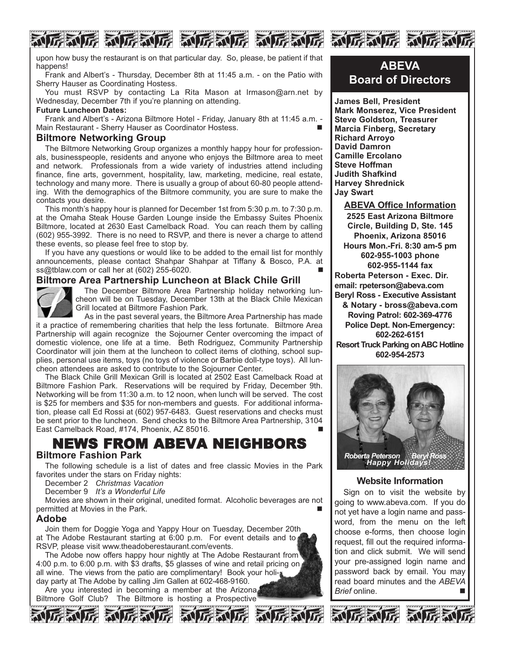upon how busy the restaurant is on that particular day. So, please, be patient if that happens!

FERUTE RUTERUTE RUTERUTE

Frank and Albert's - Thursday, December 8th at 11:45 a.m. - on the Patio with Sherry Hauser as Coordinating Hostess.

You must RSVP by contacting La Rita Mason at lrmason@arn.net by Wednesday, December 7th if you're planning on attending.

#### **Future Luncheon Dates:**

Frank and Albert's - Arizona Biltmore Hotel - Friday, January 8th at 11:45 a.m. - Main Restaurant - Sherry Hauser as Coordinator Hostess.

#### **Biltmore Networking Group**

The Biltmore Networking Group organizes a monthly happy hour for professionals, businesspeople, residents and anyone who enjoys the Biltmore area to meet and network. Professionals from a wide variety of industries attend including finance, fine arts, government, hospitality, law, marketing, medicine, real estate, technology and many more. There is usually a group of about 60-80 people attending. With the demographics of the Biltmore community, you are sure to make the contacts you desire.

This month's happy hour is planned for December 1st from 5:30 p.m. to 7:30 p.m. at the Omaha Steak House Garden Lounge inside the Embassy Suites Phoenix Biltmore, located at 2630 East Camelback Road. You can reach them by calling (602) 955-3992. There is no need to RSVP, and there is never a charge to attend these events, so please feel free to stop by.

If you have any questions or would like to be added to the email list for monthly announcements, please contact Shahpar Shahpar at Tiffany & Bosco, P.A. at ss@tblaw.com or call her at (602) 255-6020. n

#### **Biltmore Area Partnership Luncheon at Black Chile Grill**



The December Biltmore Area Partnership holiday networking luncheon will be on Tuesday, December 13th at the Black Chile Mexican Grill located at Biltmore Fashion Park.

As in the past several years, the Biltmore Area Partnership has made it a practice of remembering charities that help the less fortunate. Biltmore Area Partnership will again recognize the Sojourner Center overcoming the impact of domestic violence, one life at a time. Beth Rodriguez, Community Partnership Coordinator will join them at the luncheon to collect items of clothing, school supplies, personal use items, toys (no toys of violence or Barbie doll-type toys). All luncheon attendees are asked to contribute to the Sojourner Center.

The Black Chile Grill Mexican Grill is located at 2502 East Camelback Road at Biltmore Fashion Park. Reservations will be required by Friday, December 9th. Networking will be from 11:30 a.m. to 12 noon, when lunch will be served. The cost is \$25 for members and \$35 for non-members and guests. For additional information, please call Ed Rossi at (602) 957-6483. Guest reservations and checks must be sent prior to the luncheon. Send checks to the Biltmore Area Partnership, 3104 East Camelback Road, #174, Phoenix, AZ 85016.

### NEWS FROM ABEVA NEIGHBORS **Biltmore Fashion Park Biltmore Fashion Park**

The following schedule is a list of dates and free classic Movies in the Park favorites under the stars on Friday nights:

December 2 *Christmas Vacation*

December 9 *It's a Wonderful Life*

Movies are shown in their original, unedited format. Alcoholic beverages are not permitted at Movies in the Park.

#### **Adobe**

Join them for Doggie Yoga and Yappy Hour on Tuesday, December 20th at The Adobe Restaurant starting at 6:00 p.m. For event details and to RSVP, please visit www.theadoberestaurant.com/events.

The Adobe now offers happy hour nightly at The Adobe Restaurant from 4:00 p.m. to 6:00 p.m. with \$3 drafts, \$5 glasses of wine and retail pricing on all wine. The views from the patio are complimentary! Book your holi-\* day party at The Adobe by calling Jim Gallen at 602-468-9160.

Are you interested in becoming a member at the Arizona. Biltmore Golf Club? The Biltmore is hosting a Prospective







**KILEKUZ KILEK** 

**James Bell, President Mark Monserez, Vice President Steve Goldston, Treasurer Marcia Finberg, Secretary Richard Arroyo David Damron Camille Ercolano Steve Hoffman Judith Shafkind Harvey Shrednick Jay Swart**

**ABEVA Office Information 2525 East Arizona Biltmore Circle, Building D, Ste. 145 Phoenix, Arizona 85016 Hours Mon.-Fri. 8:30 am-5 pm 602-955-1003 phone 602-955-1144 fax Roberta Peterson - Exec. Dir. email: rpeterson@abeva.com Beryl Ross - Executive Assistant & Notary - bross@abeva.com Roving Patrol: 602-369-4776 Police Dept. Non-Emergency: 602-262-6151 Resort Truck Parking on ABC Hotline 602-954-2573**



#### **Website Information**

Sign on to visit the website by going to www.abeva.com. If you do not yet have a login name and password, from the menu on the left choose e-forms, then choose login request, fill out the required information and click submit. We will send your pre-assigned login name and password back by email. You may read board minutes and the *ABEVA Brief* online. n